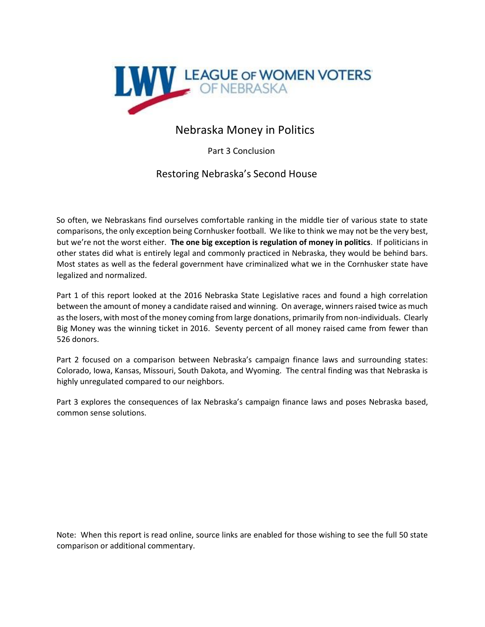

# Nebraska Money in Politics

Part 3 Conclusion

# Restoring Nebraska's Second House

So often, we Nebraskans find ourselves comfortable ranking in the middle tier of various state to state comparisons, the only exception being Cornhusker football. We like to think we may not be the very best, but we're not the worst either. **The one big exception is regulation of money in politics**. If politicians in other states did what is entirely legal and commonly practiced in Nebraska, they would be behind bars. Most states as well as the federal government have criminalized what we in the Cornhusker state have legalized and normalized.

Part 1 of this report looked at the 2016 Nebraska State Legislative races and found a high correlation between the amount of money a candidate raised and winning. On average, winners raised twice as much as the losers, with most of the money coming from large donations, primarily from non-individuals. Clearly Big Money was the winning ticket in 2016. Seventy percent of all money raised came from fewer than 526 donors.

Part 2 focused on a comparison between Nebraska's campaign finance laws and surrounding states: Colorado, Iowa, Kansas, Missouri, South Dakota, and Wyoming. The central finding was that Nebraska is highly unregulated compared to our neighbors.

Part 3 explores the consequences of lax Nebraska's campaign finance laws and poses Nebraska based, common sense solutions.

Note: When this report is read online, source links are enabled for those wishing to see the full 50 state comparison or additional commentary.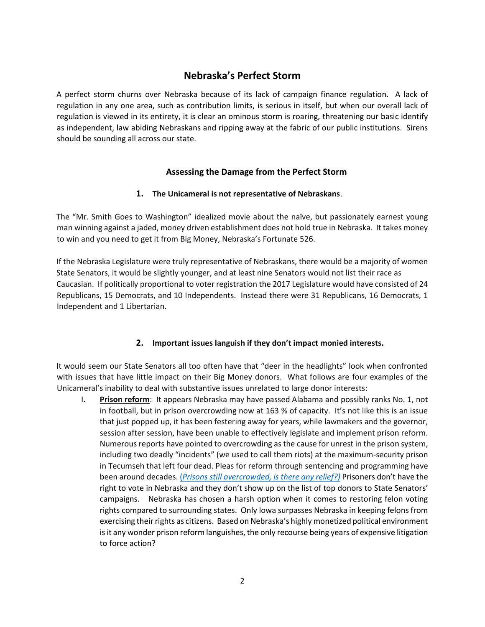# **Nebraska's Perfect Storm**

A perfect storm churns over Nebraska because of its lack of campaign finance regulation. A lack of regulation in any one area, such as contribution limits, is serious in itself, but when our overall lack of regulation is viewed in its entirety, it is clear an ominous storm is roaring, threatening our basic identify as independent, law abiding Nebraskans and ripping away at the fabric of our public institutions. Sirens should be sounding all across our state.

# **Assessing the Damage from the Perfect Storm**

## **1. The Unicameral is not representative of Nebraskans**.

The "Mr. Smith Goes to Washington" idealized movie about the naïve, but passionately earnest young man winning against a jaded, money driven establishment does not hold true in Nebraska. It takes money to win and you need to get it from Big Money, Nebraska's Fortunate 526.

If the Nebraska Legislature were truly representative of Nebraskans, there would be a majority of women State Senators, it would be slightly younger, and at least nine Senators would not list their race as Caucasian. If politically proportional to voter registration the 2017 Legislature would have consisted of 24 Republicans, 15 Democrats, and 10 Independents. Instead there were 31 Republicans, 16 Democrats, 1 Independent and 1 Libertarian.

# **2. Important issues languish if they don't impact monied interests.**

It would seem our State Senators all too often have that "deer in the headlights" look when confronted with issues that have little impact on their Big Money donors. What follows are four examples of the Unicameral's inability to deal with substantive issues unrelated to large donor interests:

I. **Prison reform**: It appears Nebraska may have passed Alabama and possibly ranks No. 1, not in football, but in prison overcrowding now at 163 % of capacity. It's not like this is an issue that just popped up, it has been festering away for years, while lawmakers and the governor, session after session, have been unable to effectively legislate and implement prison reform. Numerous reports have pointed to overcrowding as the cause for unrest in the prison system, including two deadly "incidents" (we used to call them riots) at the maximum-security prison in Tecumseh that left four dead. Pleas for reform through sentencing and programming have been around decade[s.](https://www.apnews.com/9eac980633e04d99951d9146324e04e0) [\(](https://www.apnews.com/9eac980633e04d99951d9146324e04e0)*[Prisons](https://www.apnews.com/9eac980633e04d99951d9146324e04e0) [still](https://www.apnews.com/9eac980633e04d99951d9146324e04e0) [overcrowded,](https://www.apnews.com/9eac980633e04d99951d9146324e04e0) [is](https://www.apnews.com/9eac980633e04d99951d9146324e04e0) [there](https://www.apnews.com/9eac980633e04d99951d9146324e04e0) [any](https://www.apnews.com/9eac980633e04d99951d9146324e04e0) [relief?\)](https://www.apnews.com/9eac980633e04d99951d9146324e04e0)* Prisoners don't have the right to vote in Nebraska and they don't show up on the list of top donors to State Senators' campaigns. Nebraska has chosen a harsh option when it comes to restoring felon voting rights compared to surrounding states. Only Iowa surpasses Nebraska in keeping felons from exercising their rights as citizens. Based on Nebraska's highly monetized political environment is it any wonder prison reform languishes, the only recourse being years of expensive litigation to force action?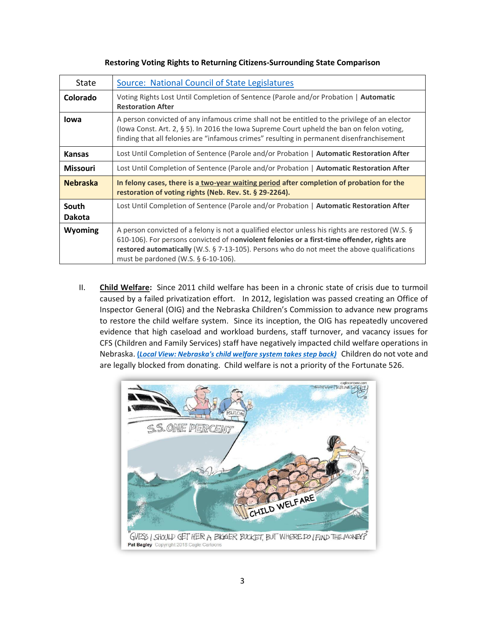| State                  | Source: National Council of State Legislatures                                                                                                                                                                                                                                                                                          |  |
|------------------------|-----------------------------------------------------------------------------------------------------------------------------------------------------------------------------------------------------------------------------------------------------------------------------------------------------------------------------------------|--|
| Colorado               | Voting Rights Lost Until Completion of Sentence (Parole and/or Probation   Automatic<br><b>Restoration After</b>                                                                                                                                                                                                                        |  |
| lowa                   | A person convicted of any infamous crime shall not be entitled to the privilege of an elector<br>(lowa Const. Art. 2, § 5). In 2016 the lowa Supreme Court upheld the ban on felon voting,<br>finding that all felonies are "infamous crimes" resulting in permanent disenfranchisement                                                 |  |
| <b>Kansas</b>          | Lost Until Completion of Sentence (Parole and/or Probation   Automatic Restoration After                                                                                                                                                                                                                                                |  |
| <b>Missouri</b>        | Lost Until Completion of Sentence (Parole and/or Probation   Automatic Restoration After                                                                                                                                                                                                                                                |  |
| <b>Nebraska</b>        | In felony cases, there is a two-year waiting period after completion of probation for the<br>restoration of voting rights (Neb. Rev. St. § 29-2264).                                                                                                                                                                                    |  |
| South<br><b>Dakota</b> | Lost Until Completion of Sentence (Parole and/or Probation   Automatic Restoration After                                                                                                                                                                                                                                                |  |
| Wyoming                | A person convicted of a felony is not a qualified elector unless his rights are restored (W.S. §<br>610-106). For persons convicted of nonviolent felonies or a first-time offender, rights are<br>restored automatically (W.S. § 7-13-105). Persons who do not meet the above qualifications<br>must be pardoned (W.S. $\S$ 6-10-106). |  |

II. **Child Welfare:** Since 2011 child welfare has been in a chronic state of crisis due to turmoil caused by a failed privatization effort. In 2012, legislation was passed creating an Office of Inspector General (OIG) and the Nebraska Children's Commission to advance new programs to restore the child welfare system. Since its inception, the OIG has repeatedly uncovered evidence that high caseload and workload burdens, staff turnover, and vacancy issues for CFS (Children and Family Services) staff have negatively impacted child welfare operations in Nebraska. **[\(](https://journalstar.com/opinion/columnists/local-view-nebraska-s-child-welfare-system-takes-step-back/article_d9223fd5-e9cf-5e19-88a0-2a71ed22d346.html)***[Local View: Nebraska's child welfare system takes step back\)](https://journalstar.com/opinion/columnists/local-view-nebraska-s-child-welfare-system-takes-step-back/article_d9223fd5-e9cf-5e19-88a0-2a71ed22d346.html)* [C](https://journalstar.com/opinion/columnists/local-view-nebraska-s-child-welfare-system-takes-step-back/article_d9223fd5-e9cf-5e19-88a0-2a71ed22d346.html)hildren do not vote and are legally blocked from donating. Child welfare is not a priority of the Fortunate 526.

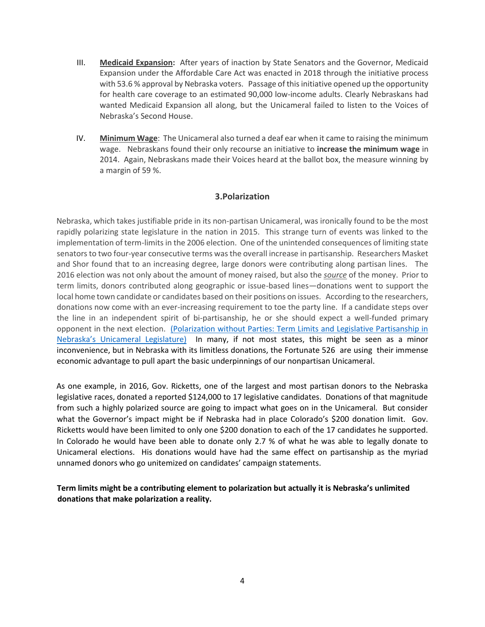- III. **Medicaid Expansion:** After years of inaction by State Senators and the Governor, Medicaid Expansion under the Affordable Care Act was enacted in 2018 through the initiative process with 53.6 % approval by Nebraska voters. Passage of this initiative opened up the opportunity for health care coverage to an estimated 90,000 low-income adults. Clearly Nebraskans had wanted Medicaid Expansion all along, but the Unicameral failed to listen to the Voices of Nebraska's Second House.
- IV. **Minimum Wage**: The Unicameral also turned a deaf ear when it came to raising the minimum wage. Nebraskans found their only recourse an initiative to **increase the minimum wage** in 2014. Again, Nebraskans made their Voices heard at the ballot box, the measure winning by a margin of 59 %.

## **3.Polarization**

Nebraska, which takes justifiable pride in its non-partisan Unicameral, was ironically found to be the most rapidly polarizing state legislature in the nation in 2015. This strange turn of events was linked to the implementation of term-limits in the 2006 election. One of the unintended consequences of limiting state senators to two four-year consecutive terms was the overall increase in partisanship. Researchers Masket and Shor found that to an increasing degree, large donors were contributing along partisan lines. The 2016 election was not only about the amount of money raised, but also the *source* of the money. Prior to term limits, donors contributed along geographic or issue-based lines—donations went to support the local home town candidate or candidates based on their positions on issues. According to the researchers, donations now come with an ever-increasing requirement to toe the party line. If a candidate steps over the line in an independent spirit of bi-partisanship, he or she should expect a well-funded primary opponent in the next election. [\(Polarization without Parties: Term Limits and Legislative Partisanship in](http://mysite.du.edu/~smasket/Masket_Shor_SPPQ.pdf) [Nebraska's Unicameral Legislature](http://mysite.du.edu/~smasket/Masket_Shor_SPPQ.pdf)[\) I](http://mysite.du.edu/~smasket/Masket_Shor_SPPQ.pdf)n many, if not most states, this might be seen as a minor inconvenience, but in Nebraska with its limitless donations, the Fortunate 526 are using their immense economic advantage to pull apart the basic underpinnings of our nonpartisan Unicameral.

As one example, in 2016, Gov. Ricketts, one of the largest and most partisan donors to the Nebraska legislative races, donated a reported \$124,000 to 17 legislative candidates. Donations of that magnitude from such a highly polarized source are going to impact what goes on in the Unicameral. But consider what the Governor's impact might be if Nebraska had in place Colorado's \$200 donation limit. Gov. Ricketts would have been limited to only one \$200 donation to each of the 17 candidates he supported. In Colorado he would have been able to donate only 2.7 % of what he was able to legally donate to Unicameral elections. His donations would have had the same effect on partisanship as the myriad unnamed donors who go unitemized on candidates' campaign statements.

**Term limits might be a contributing element to polarization but actually it is Nebraska's unlimited donations that make polarization a reality.**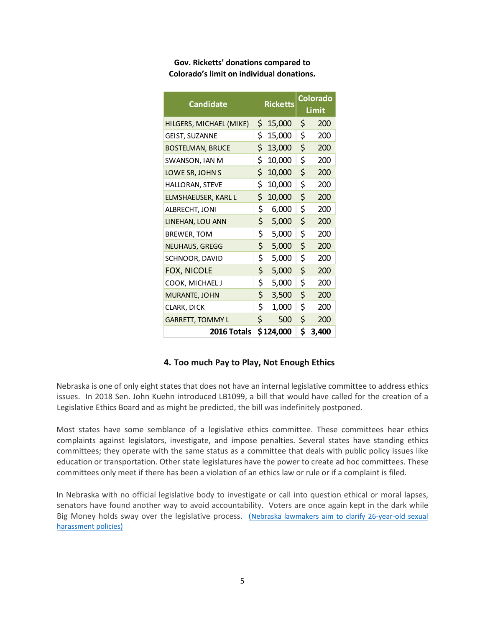**Gov. Ricketts' donations compared to Colorado's limit on individual donations.** 

| <b>Candidate</b>        |     | <b>Ricketts</b> |    | Colorado<br>Limit |  |
|-------------------------|-----|-----------------|----|-------------------|--|
| HILGERS, MICHAEL (MIKE) | \$. | 15,000          | \$ | 200               |  |
| GEIST, SUZANNE          | \$  | 15,000          | \$ | 200               |  |
| <b>BOSTELMAN, BRUCE</b> | \$  | 13,000          | \$ | 200               |  |
| SWANSON, IAN M          | \$  | 10,000          | \$ | 200               |  |
| LOWE SR, JOHN S         | \$  | 10,000          | \$ | 200               |  |
| HALLORAN, STEVE         | \$  | 10,000          | \$ | 200               |  |
| ELMSHAEUSER, KARL L     | \$  | 10,000          | \$ | 200               |  |
| ALBRECHT, JONI          | \$  | 6,000           | \$ | 200               |  |
| LINEHAN, LOU ANN        | \$. | 5,000           | \$ | 200               |  |
| BREWER, TOM             | \$. | 5,000           | \$ | 200               |  |
| <b>NEUHAUS, GREGG</b>   | \$. | 5,000           | \$ | 200               |  |
| SCHNOOR, DAVID          | \$  | 5,000           | \$ | 200               |  |
| <b>FOX, NICOLE</b>      | \$  | 5,000           | \$ | 200               |  |
| COOK, MICHAEL J         | \$  | 5,000           | \$ | 200               |  |
| MURANTE, JOHN           | \$  | 3,500           | \$ | 200               |  |
| CLARK, DICK             | \$  | 1,000           | \$ | 200               |  |
| <b>GARRETT, TOMMY L</b> | \$  | 500             | \$ | 200               |  |
| 2016 Totals             |     | \$124,000       | \$ | 3,400             |  |

# **4. Too much Pay to Play, Not Enough Ethics**

Nebraska is one of only eight states that does not have an internal legislative committee to address ethics issues. In 2018 Sen. John Kuehn introduced LB1099, a bill that would have called for the creation of a Legislative Ethics Board and as might be predicted, the bill was indefinitely postponed.

Most states have some semblance of a legislative ethics committee. These committees hear ethics complaints against legislators, investigate, and impose penalties. Several states have standing ethics committees; they operate with the same status as a committee that deals with public policy issues like education or transportation. Other state legislatures have the power to create ad hoc committees. These committees only meet if there has been a violation of an ethics law or rule or if a complaint is filed.

In Nebraska with no official legislative body to investigate or call into question ethical or moral lapses, senators have found another way to avoid accountability. Voters are once again kept in the dark while Big Money holds sway over the legislative proces[s.](https://www.omaha.com/news/legislature/nebraska-lawmakers-aim-to-clarify--year-old-sexual-harassment/article_345fe7e8-92df-5c56-a1fc-0ae08311fa1f.html) [\(](https://www.omaha.com/news/legislature/nebraska-lawmakers-aim-to-clarify--year-old-sexual-harassment/article_345fe7e8-92df-5c56-a1fc-0ae08311fa1f.html)[Nebraska lawmakers aim to clarify 26-year-old sexual](https://www.omaha.com/news/legislature/nebraska-lawmakers-aim-to-clarify--year-old-sexual-harassment/article_345fe7e8-92df-5c56-a1fc-0ae08311fa1f.html) [harassment policies\)](https://www.omaha.com/news/legislature/nebraska-lawmakers-aim-to-clarify--year-old-sexual-harassment/article_345fe7e8-92df-5c56-a1fc-0ae08311fa1f.html)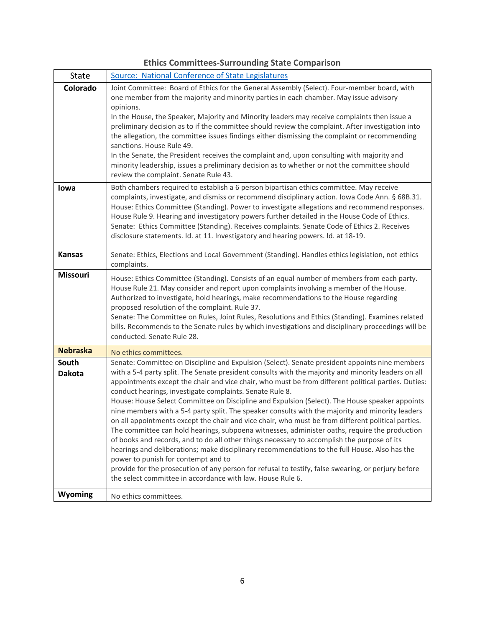| <b>Ethics Committees-Surrounding State Comparison</b> |  |
|-------------------------------------------------------|--|
|-------------------------------------------------------|--|

| State                  | Source: National Conference of State Legislatures                                                                                                                                                                                                                                                                                                                                                                                                                                                                                                                                                                                                                                                                                                                                                                                                                                                                                                                                                                                                                                                                                                                                                 |
|------------------------|---------------------------------------------------------------------------------------------------------------------------------------------------------------------------------------------------------------------------------------------------------------------------------------------------------------------------------------------------------------------------------------------------------------------------------------------------------------------------------------------------------------------------------------------------------------------------------------------------------------------------------------------------------------------------------------------------------------------------------------------------------------------------------------------------------------------------------------------------------------------------------------------------------------------------------------------------------------------------------------------------------------------------------------------------------------------------------------------------------------------------------------------------------------------------------------------------|
| Colorado               | Joint Committee: Board of Ethics for the General Assembly (Select). Four-member board, with<br>one member from the majority and minority parties in each chamber. May issue advisory<br>opinions.<br>In the House, the Speaker, Majority and Minority leaders may receive complaints then issue a<br>preliminary decision as to if the committee should review the complaint. After investigation into<br>the allegation, the committee issues findings either dismissing the complaint or recommending<br>sanctions. House Rule 49.<br>In the Senate, the President receives the complaint and, upon consulting with majority and<br>minority leadership, issues a preliminary decision as to whether or not the committee should<br>review the complaint. Senate Rule 43.                                                                                                                                                                                                                                                                                                                                                                                                                       |
| lowa                   | Both chambers required to establish a 6 person bipartisan ethics committee. May receive<br>complaints, investigate, and dismiss or recommend disciplinary action. Iowa Code Ann. § 68B.31.<br>House: Ethics Committee (Standing). Power to investigate allegations and recommend responses.<br>House Rule 9. Hearing and investigatory powers further detailed in the House Code of Ethics.<br>Senate: Ethics Committee (Standing). Receives complaints. Senate Code of Ethics 2. Receives<br>disclosure statements. Id. at 11. Investigatory and hearing powers. Id. at 18-19.                                                                                                                                                                                                                                                                                                                                                                                                                                                                                                                                                                                                                   |
| <b>Kansas</b>          | Senate: Ethics, Elections and Local Government (Standing). Handles ethics legislation, not ethics<br>complaints.                                                                                                                                                                                                                                                                                                                                                                                                                                                                                                                                                                                                                                                                                                                                                                                                                                                                                                                                                                                                                                                                                  |
| <b>Missouri</b>        | House: Ethics Committee (Standing). Consists of an equal number of members from each party.<br>House Rule 21. May consider and report upon complaints involving a member of the House.<br>Authorized to investigate, hold hearings, make recommendations to the House regarding<br>proposed resolution of the complaint. Rule 37.<br>Senate: The Committee on Rules, Joint Rules, Resolutions and Ethics (Standing). Examines related<br>bills. Recommends to the Senate rules by which investigations and disciplinary proceedings will be<br>conducted. Senate Rule 28.                                                                                                                                                                                                                                                                                                                                                                                                                                                                                                                                                                                                                         |
| <b>Nebraska</b>        | No ethics committees.                                                                                                                                                                                                                                                                                                                                                                                                                                                                                                                                                                                                                                                                                                                                                                                                                                                                                                                                                                                                                                                                                                                                                                             |
| South<br><b>Dakota</b> | Senate: Committee on Discipline and Expulsion (Select). Senate president appoints nine members<br>with a 5-4 party split. The Senate president consults with the majority and minority leaders on all<br>appointments except the chair and vice chair, who must be from different political parties. Duties:<br>conduct hearings, investigate complaints. Senate Rule 8.<br>House: House Select Committee on Discipline and Expulsion (Select). The House speaker appoints<br>nine members with a 5-4 party split. The speaker consults with the majority and minority leaders<br>on all appointments except the chair and vice chair, who must be from different political parties.<br>The committee can hold hearings, subpoena witnesses, administer oaths, require the production<br>of books and records, and to do all other things necessary to accomplish the purpose of its<br>hearings and deliberations; make disciplinary recommendations to the full House. Also has the<br>power to punish for contempt and to<br>provide for the prosecution of any person for refusal to testify, false swearing, or perjury before<br>the select committee in accordance with law. House Rule 6. |
| Wyoming                | No ethics committees.                                                                                                                                                                                                                                                                                                                                                                                                                                                                                                                                                                                                                                                                                                                                                                                                                                                                                                                                                                                                                                                                                                                                                                             |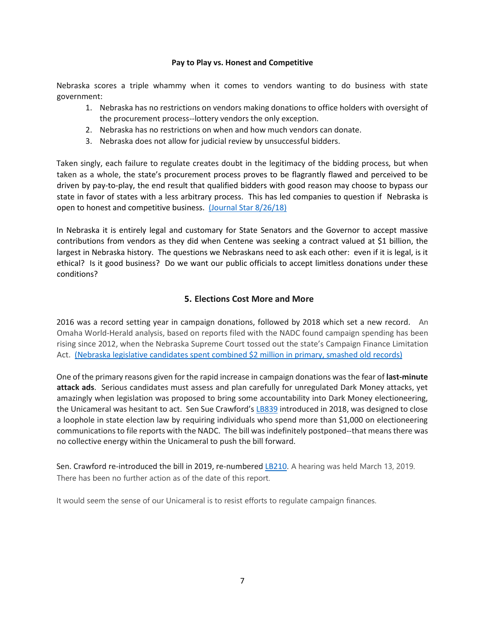#### **Pay to Play vs. Honest and Competitive**

Nebraska scores a triple whammy when it comes to vendors wanting to do business with state government:

- 1. Nebraska has no restrictions on vendors making donations to office holders with oversight of the procurement process--lottery vendors the only exception.
- 2. Nebraska has no restrictions on when and how much vendors can donate.
- 3. Nebraska does not allow for judicial review by unsuccessful bidders.

Taken singly, each failure to regulate creates doubt in the legitimacy of the bidding process, but when taken as a whole, the state's procurement process proves to be flagrantly flawed and perceived to be driven by pay-to-play, the end result that qualified bidders with good reason may choose to bypass our state in favor of states with a less arbitrary process. This has led companies to question if Nebraska is open to honest and competitive business. [\(Journal Star 8/26/18\)](https://journalstar.com/news/state-and-regional/govt-and-politics/is-nebraska-open-for-business-companies-say-state-s-bidding/article_a9562ab4-5960-5bc5-a64b-27dcb520da27.html) 

In Nebraska it is entirely legal and customary for State Senators and the Governor to accept massive contributions from vendors as they did when Centene was seeking a contract valued at \$1 billion, the largest in Nebraska history. The questions we Nebraskans need to ask each other: even if it is legal, is it ethical? Is it good business? Do we want our public officials to accept limitless donations under these conditions?

# **5. Elections Cost More and More**

2016 was a record setting year in campaign donations, followed by 2018 which set a new record. An Omaha World-Herald analysis, based on reports filed with the NADC found campaign spending has been rising since 2012, when the Nebraska Supreme Court tossed out the state's Campaign Finance Limitation Act. (Nebraska legislative candidates spent combined \$2 million in primary, smashed old records)

One of the primary reasons given for the rapid increase in campaign donations was the fear of **last-minute attack ads**. Serious candidates must assess and plan carefully for unregulated Dark Money attacks, yet amazingly when legislation was proposed to bring some accountability into Dark Money electioneering, the Unicameral was hesitant to act. Sen Sue Crawford's [LB839](https://nebraskalegislature.gov/FloorDocs/105/PDF/Intro/LB839.pdf) introduced in 2018, was designed to close a loophole in state election law by requiring individuals who spend more than \$1,000 on electioneering communications to file reports with the NADC. The bill was indefinitely postponed--that means there was no collective energy within the Unicameral to push the bill forward.

Sen. Crawfor[d](https://nebraskalegislature.gov/FloorDocs/106/PDF/Intro/LB210.pdf) re-introduced the bill in 2019, re-numbered [LB210](https://nebraskalegislature.gov/FloorDocs/106/PDF/Intro/LB210.pdf)[.](https://nebraskalegislature.gov/FloorDocs/106/PDF/Intro/LB210.pdf) A hearing was held March 13, 2019. There has been no further action as of the date of this report.

It would seem the sense of our Unicameral is to resist efforts to regulate campaign finances.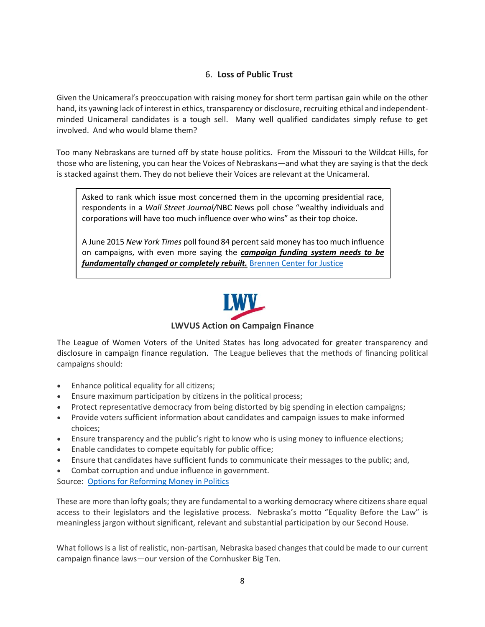# 6. **Loss of Public Trust**

Given the Unicameral's preoccupation with raising money for short term partisan gain while on the other hand, its yawning lack of interest in ethics, transparency or disclosure, recruiting ethical and independentminded Unicameral candidates is a tough sell. Many well qualified candidates simply refuse to get involved. And who would blame them?

Too many Nebraskans are turned off by state house politics. From the Missouri to the Wildcat Hills, for those who are listening, you can hear the Voices of Nebraskans—and what they are saying is that the deck is stacked against them. They do not believe their Voices are relevant at the Unicameral.

Asked to rank which issue most concerned them in the upcoming presidential race, respondents in a *Wall Street Journal/*NBC News poll chose "wealthy individuals and corporations will have too much influence over who wins" as their top choice.

A June 2015 *New York Times* poll found 84 percent said money has too much influence on campaigns, with even more saying the *campaign funding system needs to be fundamentally changed or completely rebuilt.* [Brennen Center for Justice](https://www.brennancenter.org/analysis/democracy-agenda-money-politics)



# **LWVUS Action on Campaign Finance**

The League of Women Voters of the United States has long advocated for greater transparency and disclosure in campaign finance regulation. The League believes that the methods of financing political campaigns should:

- Enhance political equality for all citizens;
- Ensure maximum participation by citizens in the political process;
- Protect representative democracy from being distorted by big spending in election campaigns;
- Provide voters sufficient information about candidates and campaign issues to make informed choices;
- Ensure transparency and the public's right to know who is using money to influence elections;
- Enable candidates to compete equitably for public office;
- Ensure that candidates have sufficient funds to communicate their messages to the public; and,
- Combat corruption and undue influence in government.

Source: [Options for Reforming Money in Politics](https://www.lwv.org/league-management/voting-rights-tools/options-reforming-money-politics)

These are more than lofty goals; they are fundamental to a working democracy where citizens share equal access to their legislators and the legislative process. Nebraska's motto "Equality Before the Law" is meaningless jargon without significant, relevant and substantial participation by our Second House.

What follows is a list of realistic, non-partisan, Nebraska based changes that could be made to our current campaign finance laws—our version of the Cornhusker Big Ten.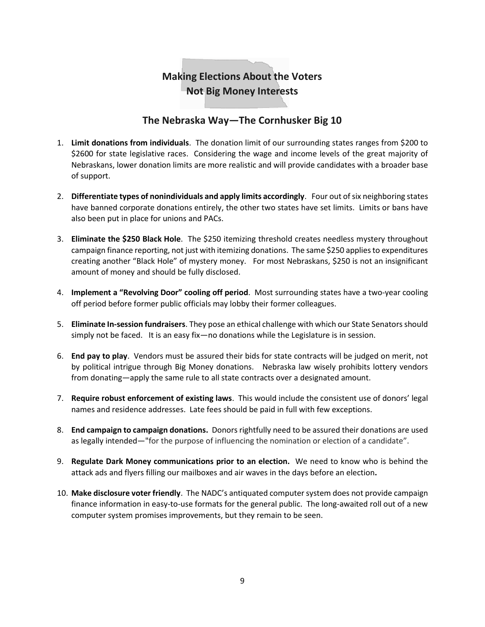# **Making Elections About the Voters Not Big Money Interests**

# **The Nebraska Way—The Cornhusker Big 10**

- 1. **Limit donations from individuals**. The donation limit of our surrounding states ranges from \$200 to \$2600 for state legislative races. Considering the wage and income levels of the great majority of Nebraskans, lower donation limits are more realistic and will provide candidates with a broader base of support.
- 2. **Differentiate types of nonindividuals and apply limits accordingly**. Four out of six neighboring states have banned corporate donations entirely, the other two states have set limits. Limits or bans have also been put in place for unions and PACs.
- 3. **Eliminate the \$250 Black Hole**. The \$250 itemizing threshold creates needless mystery throughout campaign finance reporting, not just with itemizing donations. The same \$250 applies to expenditures creating another "Black Hole" of mystery money. For most Nebraskans, \$250 is not an insignificant amount of money and should be fully disclosed.
- 4. **Implement a "Revolving Door" cooling off period**. Most surrounding states have a two-year cooling off period before former public officials may lobby their former colleagues.
- 5. **Eliminate In-session fundraisers**. They pose an ethical challenge with which our State Senators should simply not be faced. It is an easy fix—no donations while the Legislature is in session.
- 6. **End pay to play**. Vendors must be assured their bids for state contracts will be judged on merit, not by political intrigue through Big Money donations. Nebraska law wisely prohibits lottery vendors from donating—apply the same rule to all state contracts over a designated amount.
- 7. **Require robust enforcement of existing laws**. This would include the consistent use of donors' legal names and residence addresses. Late fees should be paid in full with few exceptions.
- 8. **End campaign to campaign donations.** Donors rightfully need to be assured their donations are used as legally intended—"for the purpose of influencing the nomination or election of a candidate".
- 9. **Regulate Dark Money communications prior to an election.** We need to know who is behind the attack ads and flyers filling our mailboxes and air waves in the days before an election**.**
- 10. **Make disclosure voter friendly**. The NADC's antiquated computer system does not provide campaign finance information in easy-to-use formats for the general public. The long-awaited roll out of a new computer system promises improvements, but they remain to be seen.